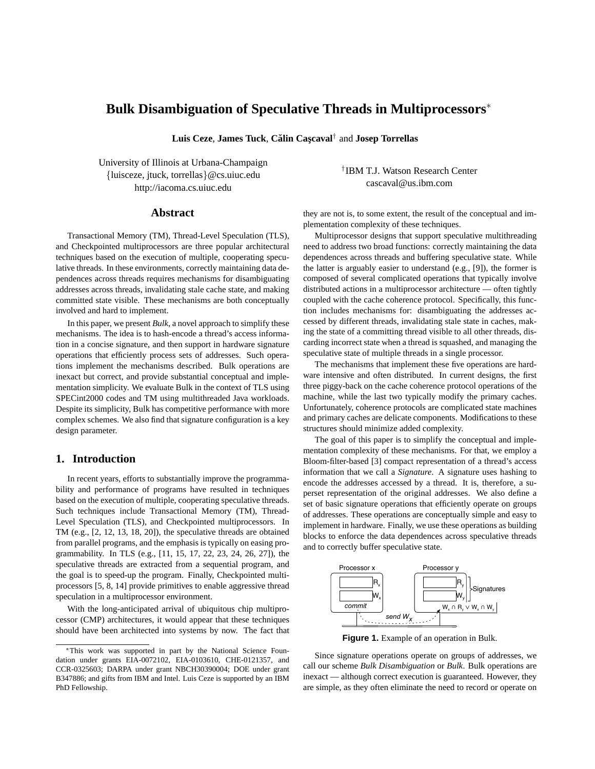# **Bulk Disambiguation of Speculative Threads in Multiprocessors**<sup>∗</sup>

 $Luis Ceze, James Tuck, Călin Cașcaval<sup>†</sup> and Joseph Torrellas$ 

University of Illinois at Urbana-Champaign {luisceze, jtuck, torrellas}@cs.uiuc.edu http://iacoma.cs.uiuc.edu

# **Abstract**

Transactional Memory (TM), Thread-Level Speculation (TLS), and Checkpointed multiprocessors are three popular architectural techniques based on the execution of multiple, cooperating speculative threads. In these environments, correctly maintaining data dependences across threads requires mechanisms for disambiguating addresses across threads, invalidating stale cache state, and making committed state visible. These mechanisms are both conceptually involved and hard to implement.

In this paper, we present *Bulk*, a novel approach to simplify these mechanisms. The idea is to hash-encode a thread's access information in a concise signature, and then support in hardware signature operations that efficiently process sets of addresses. Such operations implement the mechanisms described. Bulk operations are inexact but correct, and provide substantial conceptual and implementation simplicity. We evaluate Bulk in the context of TLS using SPECint2000 codes and TM using multithreaded Java workloads. Despite its simplicity, Bulk has competitive performance with more complex schemes. We also find that signature configuration is a key design parameter.

# **1. Introduction**

In recent years, efforts to substantially improve the programmability and performance of programs have resulted in techniques based on the execution of multiple, cooperating speculative threads. Such techniques include Transactional Memory (TM), Thread-Level Speculation (TLS), and Checkpointed multiprocessors. In TM (e.g., [2, 12, 13, 18, 20]), the speculative threads are obtained from parallel programs, and the emphasis is typically on easing programmability. In TLS (e.g., [11, 15, 17, 22, 23, 24, 26, 27]), the speculative threads are extracted from a sequential program, and the goal is to speed-up the program. Finally, Checkpointed multiprocessors [5, 8, 14] provide primitives to enable aggressive thread speculation in a multiprocessor environment.

With the long-anticipated arrival of ubiquitous chip multiprocessor (CMP) architectures, it would appear that these techniques should have been architected into systems by now. The fact that † IBM T.J. Watson Research Center cascaval@us.ibm.com

they are not is, to some extent, the result of the conceptual and implementation complexity of these techniques.

Multiprocessor designs that support speculative multithreading need to address two broad functions: correctly maintaining the data dependences across threads and buffering speculative state. While the latter is arguably easier to understand (e.g., [9]), the former is composed of several complicated operations that typically involve distributed actions in a multiprocessor architecture — often tightly coupled with the cache coherence protocol. Specifically, this function includes mechanisms for: disambiguating the addresses accessed by different threads, invalidating stale state in caches, making the state of a committing thread visible to all other threads, discarding incorrect state when a thread is squashed, and managing the speculative state of multiple threads in a single processor.

The mechanisms that implement these five operations are hardware intensive and often distributed. In current designs, the first three piggy-back on the cache coherence protocol operations of the machine, while the last two typically modify the primary caches. Unfortunately, coherence protocols are complicated state machines and primary caches are delicate components. Modifications to these structures should minimize added complexity.

The goal of this paper is to simplify the conceptual and implementation complexity of these mechanisms. For that, we employ a Bloom-filter-based [3] compact representation of a thread's access information that we call a *Signature*. A signature uses hashing to encode the addresses accessed by a thread. It is, therefore, a superset representation of the original addresses. We also define a set of basic signature operations that efficiently operate on groups of addresses. These operations are conceptually simple and easy to implement in hardware. Finally, we use these operations as building blocks to enforce the data dependences across speculative threads and to correctly buffer speculative state.



**Figure 1.** Example of an operation in Bulk.

Since signature operations operate on groups of addresses, we call our scheme *Bulk Disambiguation* or *Bulk*. Bulk operations are inexact — although correct execution is guaranteed. However, they are simple, as they often eliminate the need to record or operate on

<sup>∗</sup>This work was supported in part by the National Science Foundation under grants EIA-0072102, EIA-0103610, CHE-0121357, and CCR-0325603; DARPA under grant NBCH30390004; DOE under grant B347886; and gifts from IBM and Intel. Luis Ceze is supported by an IBM PhD Fellowship.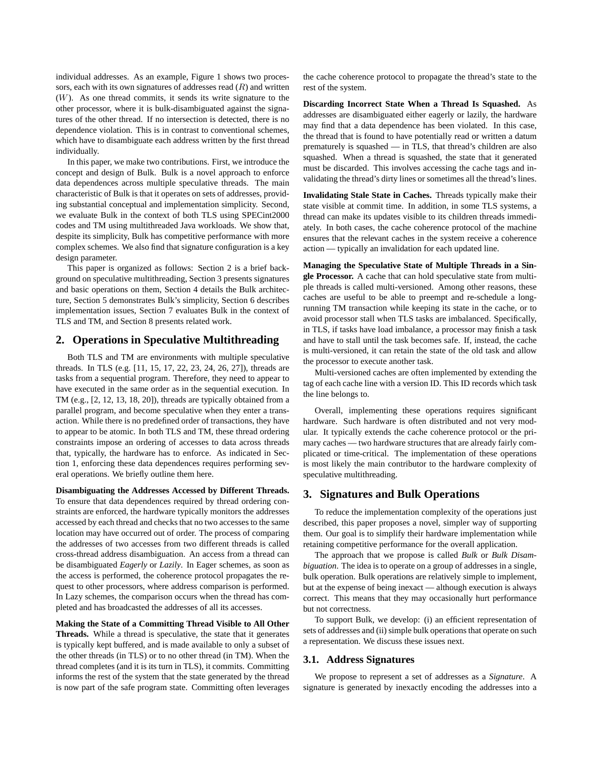individual addresses. As an example, Figure 1 shows two processors, each with its own signatures of addresses read  $(R)$  and written  $(W)$ . As one thread commits, it sends its write signature to the other processor, where it is bulk-disambiguated against the signatures of the other thread. If no intersection is detected, there is no dependence violation. This is in contrast to conventional schemes, which have to disambiguate each address written by the first thread individually.

In this paper, we make two contributions. First, we introduce the concept and design of Bulk. Bulk is a novel approach to enforce data dependences across multiple speculative threads. The main characteristic of Bulk is that it operates on sets of addresses, providing substantial conceptual and implementation simplicity. Second, we evaluate Bulk in the context of both TLS using SPECint2000 codes and TM using multithreaded Java workloads. We show that, despite its simplicity, Bulk has competitive performance with more complex schemes. We also find that signature configuration is a key design parameter.

This paper is organized as follows: Section 2 is a brief background on speculative multithreading, Section 3 presents signatures and basic operations on them, Section 4 details the Bulk architecture, Section 5 demonstrates Bulk's simplicity, Section 6 describes implementation issues, Section 7 evaluates Bulk in the context of TLS and TM, and Section 8 presents related work.

# **2. Operations in Speculative Multithreading**

Both TLS and TM are environments with multiple speculative threads. In TLS (e.g. [11, 15, 17, 22, 23, 24, 26, 27]), threads are tasks from a sequential program. Therefore, they need to appear to have executed in the same order as in the sequential execution. In TM (e.g., [2, 12, 13, 18, 20]), threads are typically obtained from a parallel program, and become speculative when they enter a transaction. While there is no predefined order of transactions, they have to appear to be atomic. In both TLS and TM, these thread ordering constraints impose an ordering of accesses to data across threads that, typically, the hardware has to enforce. As indicated in Section 1, enforcing these data dependences requires performing several operations. We briefly outline them here.

**Disambiguating the Addresses Accessed by Different Threads.** To ensure that data dependences required by thread ordering constraints are enforced, the hardware typically monitors the addresses accessed by each thread and checks that no two accesses to the same location may have occurred out of order. The process of comparing the addresses of two accesses from two different threads is called cross-thread address disambiguation. An access from a thread can be disambiguated *Eagerly* or *Lazily*. In Eager schemes, as soon as the access is performed, the coherence protocol propagates the request to other processors, where address comparison is performed. In Lazy schemes, the comparison occurs when the thread has completed and has broadcasted the addresses of all its accesses.

**Making the State of a Committing Thread Visible to All Other Threads.** While a thread is speculative, the state that it generates is typically kept buffered, and is made available to only a subset of the other threads (in TLS) or to no other thread (in TM). When the thread completes (and it is its turn in TLS), it commits. Committing informs the rest of the system that the state generated by the thread is now part of the safe program state. Committing often leverages

the cache coherence protocol to propagate the thread's state to the rest of the system.

**Discarding Incorrect State When a Thread Is Squashed.** As addresses are disambiguated either eagerly or lazily, the hardware may find that a data dependence has been violated. In this case, the thread that is found to have potentially read or written a datum prematurely is squashed — in TLS, that thread's children are also squashed. When a thread is squashed, the state that it generated must be discarded. This involves accessing the cache tags and invalidating the thread's dirty lines or sometimes all the thread's lines.

**Invalidating Stale State in Caches.** Threads typically make their state visible at commit time. In addition, in some TLS systems, a thread can make its updates visible to its children threads immediately. In both cases, the cache coherence protocol of the machine ensures that the relevant caches in the system receive a coherence action — typically an invalidation for each updated line.

**Managing the Speculative State of Multiple Threads in a Single Processor.** A cache that can hold speculative state from multiple threads is called multi-versioned. Among other reasons, these caches are useful to be able to preempt and re-schedule a longrunning TM transaction while keeping its state in the cache, or to avoid processor stall when TLS tasks are imbalanced. Specifically, in TLS, if tasks have load imbalance, a processor may finish a task and have to stall until the task becomes safe. If, instead, the cache is multi-versioned, it can retain the state of the old task and allow the processor to execute another task.

Multi-versioned caches are often implemented by extending the tag of each cache line with a version ID. This ID records which task the line belongs to.

Overall, implementing these operations requires significant hardware. Such hardware is often distributed and not very modular. It typically extends the cache coherence protocol or the primary caches — two hardware structures that are already fairly complicated or time-critical. The implementation of these operations is most likely the main contributor to the hardware complexity of speculative multithreading.

# **3. Signatures and Bulk Operations**

To reduce the implementation complexity of the operations just described, this paper proposes a novel, simpler way of supporting them. Our goal is to simplify their hardware implementation while retaining competitive performance for the overall application.

The approach that we propose is called *Bulk* or *Bulk Disambiguation*. The idea is to operate on a group of addresses in a single, bulk operation. Bulk operations are relatively simple to implement, but at the expense of being inexact — although execution is always correct. This means that they may occasionally hurt performance but not correctness.

To support Bulk, we develop: (i) an efficient representation of sets of addresses and (ii) simple bulk operations that operate on such a representation. We discuss these issues next.

# **3.1. Address Signatures**

We propose to represent a set of addresses as a *Signature*. A signature is generated by inexactly encoding the addresses into a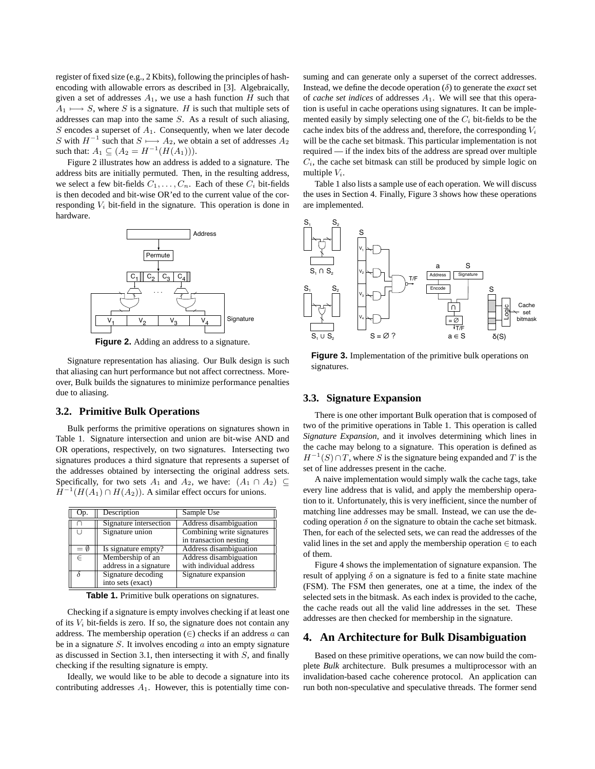register of fixed size (e.g., 2 Kbits), following the principles of hashencoding with allowable errors as described in [3]. Algebraically, given a set of addresses  $A_1$ , we use a hash function  $H$  such that  $A_1 \longmapsto S$ , where S is a signature. H is such that multiple sets of addresses can map into the same S. As a result of such aliasing, S encodes a superset of  $A_1$ . Consequently, when we later decode S with  $H^{-1}$  such that  $S \longmapsto A_2$ , we obtain a set of addresses  $A_2$ such that:  $A_1 \subseteq (A_2 = H^{-1}(H(A_1))).$ 

Figure 2 illustrates how an address is added to a signature. The address bits are initially permuted. Then, in the resulting address, we select a few bit-fields  $C_1, \ldots, C_n$ . Each of these  $C_i$  bit-fields is then decoded and bit-wise OR'ed to the current value of the corresponding  $V_i$  bit-field in the signature. This operation is done in hardware.



**Figure 2.** Adding an address to a signature.

Signature representation has aliasing. Our Bulk design is such that aliasing can hurt performance but not affect correctness. Moreover, Bulk builds the signatures to minimize performance penalties due to aliasing.

## **3.2. Primitive Bulk Operations**

Bulk performs the primitive operations on signatures shown in Table 1. Signature intersection and union are bit-wise AND and OR operations, respectively, on two signatures. Intersecting two signatures produces a third signature that represents a superset of the addresses obtained by intersecting the original address sets. Specifically, for two sets  $A_1$  and  $A_2$ , we have:  $(A_1 \cap A_2) \subseteq$  $H^{-1}(H(A_1) \cap H(A_2))$ . A similar effect occurs for unions.

| Op.           | Description            | Sample Use                 |  |  |
|---------------|------------------------|----------------------------|--|--|
|               | Signature intersection | Address disambiguation     |  |  |
|               | Signature union        | Combining write signatures |  |  |
|               |                        | in transaction nesting     |  |  |
| $= \emptyset$ | Is signature empty?    | Address disambiguation     |  |  |
| $\in$         | Membership of an       | Address disambiguation     |  |  |
|               | address in a signature | with individual address    |  |  |
|               | Signature decoding     | Signature expansion        |  |  |
|               | into sets (exact)      |                            |  |  |

**Table 1.** Primitive bulk operations on signatures.

Checking if a signature is empty involves checking if at least one of its  $V_i$  bit-fields is zero. If so, the signature does not contain any address. The membership operation  $(∈)$  checks if an address a can be in a signature  $S$ . It involves encoding  $a$  into an empty signature as discussed in Section 3.1, then intersecting it with  $S$ , and finally checking if the resulting signature is empty.

Ideally, we would like to be able to decode a signature into its contributing addresses  $A_1$ . However, this is potentially time con-

suming and can generate only a superset of the correct addresses. Instead, we define the decode operation  $(\delta)$  to generate the *exact* set of *cache set indices* of addresses  $A_1$ . We will see that this operation is useful in cache operations using signatures. It can be implemented easily by simply selecting one of the  $C_i$  bit-fields to be the cache index bits of the address and, therefore, the corresponding  $V_i$ will be the cache set bitmask. This particular implementation is not required — if the index bits of the address are spread over multiple  $C_i$ , the cache set bitmask can still be produced by simple logic on multiple  $V_i$ .

Table 1 also lists a sample use of each operation. We will discuss the uses in Section 4. Finally, Figure 3 shows how these operations are implemented.



**Figure 3.** Implementation of the primitive bulk operations on signatures.

## **3.3. Signature Expansion**

There is one other important Bulk operation that is composed of two of the primitive operations in Table 1. This operation is called *Signature Expansion*, and it involves determining which lines in the cache may belong to a signature. This operation is defined as  $H^{-1}(S) \cap T$ , where S is the signature being expanded and T is the set of line addresses present in the cache.

A naive implementation would simply walk the cache tags, take every line address that is valid, and apply the membership operation to it. Unfortunately, this is very inefficient, since the number of matching line addresses may be small. Instead, we can use the decoding operation  $\delta$  on the signature to obtain the cache set bitmask. Then, for each of the selected sets, we can read the addresses of the valid lines in the set and apply the membership operation  $\in$  to each of them.

Figure 4 shows the implementation of signature expansion. The result of applying  $\delta$  on a signature is fed to a finite state machine (FSM). The FSM then generates, one at a time, the index of the selected sets in the bitmask. As each index is provided to the cache, the cache reads out all the valid line addresses in the set. These addresses are then checked for membership in the signature.

# **4. An Architecture for Bulk Disambiguation**

Based on these primitive operations, we can now build the complete *Bulk* architecture. Bulk presumes a multiprocessor with an invalidation-based cache coherence protocol. An application can run both non-speculative and speculative threads. The former send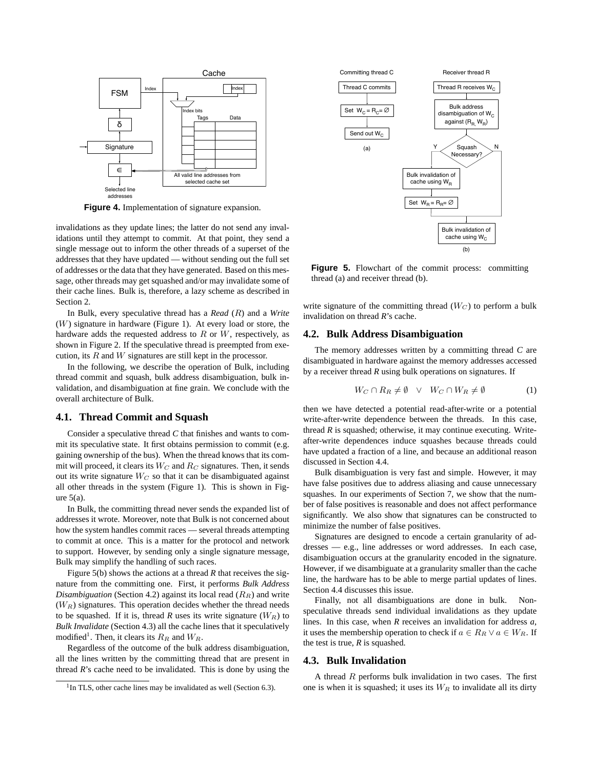

**Figure 4.** Implementation of signature expansion.

invalidations as they update lines; the latter do not send any invalidations until they attempt to commit. At that point, they send a single message out to inform the other threads of a superset of the addresses that they have updated — without sending out the full set of addresses or the data that they have generated. Based on this message, other threads may get squashed and/or may invalidate some of their cache lines. Bulk is, therefore, a lazy scheme as described in Section 2.

In Bulk, every speculative thread has a *Read* (R) and a *Write* (W) signature in hardware (Figure 1). At every load or store, the hardware adds the requested address to  $R$  or  $W$ , respectively, as shown in Figure 2. If the speculative thread is preempted from execution, its  $R$  and  $W$  signatures are still kept in the processor.

In the following, we describe the operation of Bulk, including thread commit and squash, bulk address disambiguation, bulk invalidation, and disambiguation at fine grain. We conclude with the overall architecture of Bulk.

#### **4.1. Thread Commit and Squash**

Consider a speculative thread *C* that finishes and wants to commit its speculative state. It first obtains permission to commit (e.g. gaining ownership of the bus). When the thread knows that its commit will proceed, it clears its  $W_C$  and  $R_C$  signatures. Then, it sends out its write signature  $W_C$  so that it can be disambiguated against all other threads in the system (Figure 1). This is shown in Figure  $5(a)$ .

In Bulk, the committing thread never sends the expanded list of addresses it wrote. Moreover, note that Bulk is not concerned about how the system handles commit races — several threads attempting to commit at once. This is a matter for the protocol and network to support. However, by sending only a single signature message, Bulk may simplify the handling of such races.

Figure 5(b) shows the actions at a thread *R* that receives the signature from the committing one. First, it performs *Bulk Address Disambiguation* (Section 4.2) against its local read  $(R_R)$  and write  $(W_R)$  signatures. This operation decides whether the thread needs to be squashed. If it is, thread *R* uses its write signature  $(W_R)$  to *Bulk Invalidate* (Section 4.3) all the cache lines that it speculatively modified<sup>1</sup>. Then, it clears its  $R_R$  and  $W_R$ .

Regardless of the outcome of the bulk address disambiguation, all the lines written by the committing thread that are present in thread *R*'s cache need to be invalidated. This is done by using the



Figure 5. Flowchart of the commit process: committing thread (a) and receiver thread (b).

write signature of the committing thread  $(W_C)$  to perform a bulk invalidation on thread *R*'s cache.

## **4.2. Bulk Address Disambiguation**

The memory addresses written by a committing thread *C* are disambiguated in hardware against the memory addresses accessed by a receiver thread *R* using bulk operations on signatures. If

$$
W_C \cap R_R \neq \emptyset \quad \lor \quad W_C \cap W_R \neq \emptyset \tag{1}
$$

then we have detected a potential read-after-write or a potential write-after-write dependence between the threads. In this case, thread *R* is squashed; otherwise, it may continue executing. Writeafter-write dependences induce squashes because threads could have updated a fraction of a line, and because an additional reason discussed in Section 4.4.

Bulk disambiguation is very fast and simple. However, it may have false positives due to address aliasing and cause unnecessary squashes. In our experiments of Section 7, we show that the number of false positives is reasonable and does not affect performance significantly. We also show that signatures can be constructed to minimize the number of false positives.

Signatures are designed to encode a certain granularity of addresses — e.g., line addresses or word addresses. In each case, disambiguation occurs at the granularity encoded in the signature. However, if we disambiguate at a granularity smaller than the cache line, the hardware has to be able to merge partial updates of lines. Section 4.4 discusses this issue.

Finally, not all disambiguations are done in bulk. Nonspeculative threads send individual invalidations as they update lines. In this case, when *R* receives an invalidation for address *a*, it uses the membership operation to check if  $a \in R_R \vee a \in W_R$ . If the test is true,  $R$  is squashed.

## **4.3. Bulk Invalidation**

A thread  $R$  performs bulk invalidation in two cases. The first one is when it is squashed; it uses its  $W_R$  to invalidate all its dirty

 $1$ In TLS, other cache lines may be invalidated as well (Section 6.3).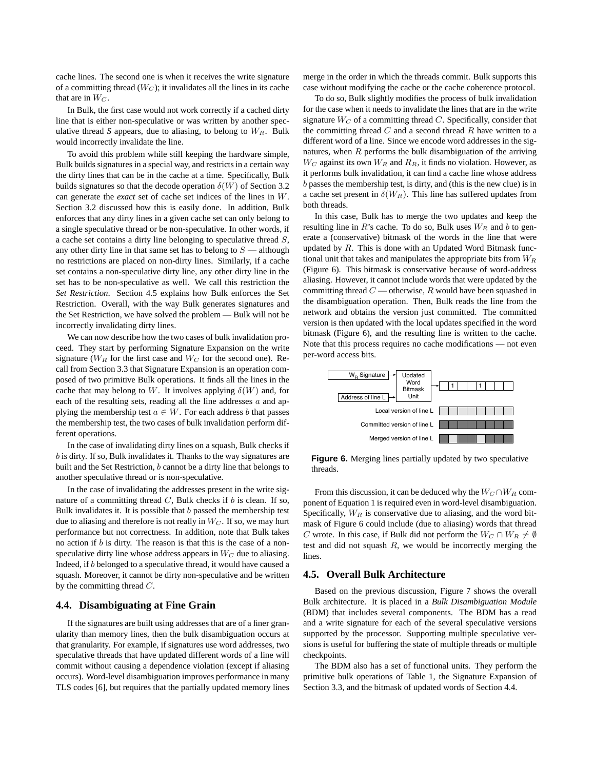cache lines. The second one is when it receives the write signature of a committing thread  $(W_C)$ ; it invalidates all the lines in its cache that are in  $W_C$ .

In Bulk, the first case would not work correctly if a cached dirty line that is either non-speculative or was written by another speculative thread *S* appears, due to aliasing, to belong to  $W_R$ . Bulk would incorrectly invalidate the line.

To avoid this problem while still keeping the hardware simple, Bulk builds signatures in a special way, and restricts in a certain way the dirty lines that can be in the cache at a time. Specifically, Bulk builds signatures so that the decode operation  $\delta(W)$  of Section 3.2 can generate the *exact* set of cache set indices of the lines in W. Section 3.2 discussed how this is easily done. In addition, Bulk enforces that any dirty lines in a given cache set can only belong to a single speculative thread or be non-speculative. In other words, if a cache set contains a dirty line belonging to speculative thread S, any other dirty line in that same set has to belong to  $S$  — although no restrictions are placed on non-dirty lines. Similarly, if a cache set contains a non-speculative dirty line, any other dirty line in the set has to be non-speculative as well. We call this restriction the *Set Restriction*. Section 4.5 explains how Bulk enforces the Set Restriction. Overall, with the way Bulk generates signatures and the Set Restriction, we have solved the problem — Bulk will not be incorrectly invalidating dirty lines.

We can now describe how the two cases of bulk invalidation proceed. They start by performing Signature Expansion on the write signature ( $W_R$  for the first case and  $W_C$  for the second one). Recall from Section 3.3 that Signature Expansion is an operation composed of two primitive Bulk operations. It finds all the lines in the cache that may belong to W. It involves applying  $\delta(W)$  and, for each of the resulting sets, reading all the line addresses  $a$  and applying the membership test  $a \in W$ . For each address b that passes the membership test, the two cases of bulk invalidation perform different operations.

In the case of invalidating dirty lines on a squash, Bulk checks if b is dirty. If so, Bulk invalidates it. Thanks to the way signatures are built and the Set Restriction, b cannot be a dirty line that belongs to another speculative thread or is non-speculative.

In the case of invalidating the addresses present in the write signature of a committing thread  $C$ , Bulk checks if  $b$  is clean. If so, Bulk invalidates it. It is possible that  $b$  passed the membership test due to aliasing and therefore is not really in  $W_C$ . If so, we may hurt performance but not correctness. In addition, note that Bulk takes no action if  $b$  is dirty. The reason is that this is the case of a nonspeculative dirty line whose address appears in  $W_C$  due to aliasing. Indeed, if b belonged to a speculative thread, it would have caused a squash. Moreover, it cannot be dirty non-speculative and be written by the committing thread  $C$ .

#### **4.4. Disambiguating at Fine Grain**

If the signatures are built using addresses that are of a finer granularity than memory lines, then the bulk disambiguation occurs at that granularity. For example, if signatures use word addresses, two speculative threads that have updated different words of a line will commit without causing a dependence violation (except if aliasing occurs). Word-level disambiguation improves performance in many TLS codes [6], but requires that the partially updated memory lines

merge in the order in which the threads commit. Bulk supports this case without modifying the cache or the cache coherence protocol.

To do so, Bulk slightly modifies the process of bulk invalidation for the case when it needs to invalidate the lines that are in the write signature  $W_C$  of a committing thread C. Specifically, consider that the committing thread  $C$  and a second thread  $R$  have written to a different word of a line. Since we encode word addresses in the signatures, when  $R$  performs the bulk disambiguation of the arriving  $W_C$  against its own  $W_R$  and  $R_R$ , it finds no violation. However, as it performs bulk invalidation, it can find a cache line whose address b passes the membership test, is dirty, and (this is the new clue) is in a cache set present in  $\delta(W_R)$ . This line has suffered updates from both threads.

In this case, Bulk has to merge the two updates and keep the resulting line in R's cache. To do so, Bulk uses  $W_R$  and b to generate a (conservative) bitmask of the words in the line that were updated by  $R$ . This is done with an Updated Word Bitmask functional unit that takes and manipulates the appropriate bits from  $W_R$ (Figure 6). This bitmask is conservative because of word-address aliasing. However, it cannot include words that were updated by the committing thread  $C$  — otherwise,  $R$  would have been squashed in the disambiguation operation. Then, Bulk reads the line from the network and obtains the version just committed. The committed version is then updated with the local updates specified in the word bitmask (Figure 6), and the resulting line is written to the cache. Note that this process requires no cache modifications — not even per-word access bits.



**Figure 6.** Merging lines partially updated by two speculative threads.

From this discussion, it can be deduced why the  $W_C \cap W_R$  component of Equation 1 is required even in word-level disambiguation. Specifically,  $W_R$  is conservative due to aliasing, and the word bitmask of Figure 6 could include (due to aliasing) words that thread C wrote. In this case, if Bulk did not perform the  $W_C \cap W_R \neq \emptyset$ test and did not squash  $R$ , we would be incorrectly merging the lines.

#### **4.5. Overall Bulk Architecture**

Based on the previous discussion, Figure 7 shows the overall Bulk architecture. It is placed in a *Bulk Disambiguation Module* (BDM) that includes several components. The BDM has a read and a write signature for each of the several speculative versions supported by the processor. Supporting multiple speculative versions is useful for buffering the state of multiple threads or multiple checkpoints.

The BDM also has a set of functional units. They perform the primitive bulk operations of Table 1, the Signature Expansion of Section 3.3, and the bitmask of updated words of Section 4.4.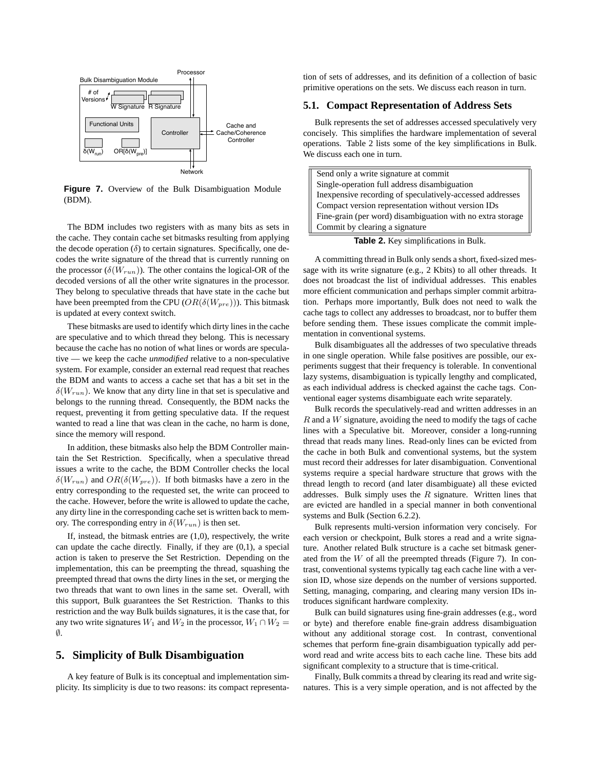

**Figure 7.** Overview of the Bulk Disambiguation Module (BDM).

The BDM includes two registers with as many bits as sets in the cache. They contain cache set bitmasks resulting from applying the decode operation  $(\delta)$  to certain signatures. Specifically, one decodes the write signature of the thread that is currently running on the processor ( $\delta(W_{run})$ ). The other contains the logical-OR of the decoded versions of all the other write signatures in the processor. They belong to speculative threads that have state in the cache but have been preempted from the CPU ( $OR(\delta(W_{pre}))$ ). This bitmask is updated at every context switch.

These bitmasks are used to identify which dirty lines in the cache are speculative and to which thread they belong. This is necessary because the cache has no notion of what lines or words are speculative — we keep the cache *unmodified* relative to a non-speculative system. For example, consider an external read request that reaches the BDM and wants to access a cache set that has a bit set in the  $\delta(W_{run})$ . We know that any dirty line in that set is speculative and belongs to the running thread. Consequently, the BDM nacks the request, preventing it from getting speculative data. If the request wanted to read a line that was clean in the cache, no harm is done, since the memory will respond.

In addition, these bitmasks also help the BDM Controller maintain the Set Restriction. Specifically, when a speculative thread issues a write to the cache, the BDM Controller checks the local  $\delta(W_{run})$  and  $OR(\delta(W_{pre}))$ . If both bitmasks have a zero in the entry corresponding to the requested set, the write can proceed to the cache. However, before the write is allowed to update the cache, any dirty line in the corresponding cache set is written back to memory. The corresponding entry in  $\delta(W_{run})$  is then set.

If, instead, the bitmask entries are (1,0), respectively, the write can update the cache directly. Finally, if they are (0,1), a special action is taken to preserve the Set Restriction. Depending on the implementation, this can be preempting the thread, squashing the preempted thread that owns the dirty lines in the set, or merging the two threads that want to own lines in the same set. Overall, with this support, Bulk guarantees the Set Restriction. Thanks to this restriction and the way Bulk builds signatures, it is the case that, for any two write signatures  $W_1$  and  $W_2$  in the processor,  $W_1 \cap W_2 =$ ∅.

# **5. Simplicity of Bulk Disambiguation**

A key feature of Bulk is its conceptual and implementation simplicity. Its simplicity is due to two reasons: its compact representation of sets of addresses, and its definition of a collection of basic primitive operations on the sets. We discuss each reason in turn.

#### **5.1. Compact Representation of Address Sets**

Bulk represents the set of addresses accessed speculatively very concisely. This simplifies the hardware implementation of several operations. Table 2 lists some of the key simplifications in Bulk. We discuss each one in turn.

| Send only a write signature at commit                      |
|------------------------------------------------------------|
| Single-operation full address disambiguation               |
| In expensive recording of speculatively-accessed addresses |
| Compact version representation without version IDs         |
| Fine-grain (per word) disambiguation with no extra storage |
| Commit by clearing a signature                             |

**Table 2.** Key simplifications in Bulk.

A committing thread in Bulk only sends a short, fixed-sized message with its write signature (e.g., 2 Kbits) to all other threads. It does not broadcast the list of individual addresses. This enables more efficient communication and perhaps simpler commit arbitration. Perhaps more importantly, Bulk does not need to walk the cache tags to collect any addresses to broadcast, nor to buffer them before sending them. These issues complicate the commit implementation in conventional systems.

Bulk disambiguates all the addresses of two speculative threads in one single operation. While false positives are possible, our experiments suggest that their frequency is tolerable. In conventional lazy systems, disambiguation is typically lengthy and complicated, as each individual address is checked against the cache tags. Conventional eager systems disambiguate each write separately.

Bulk records the speculatively-read and written addresses in an  $R$  and a  $W$  signature, avoiding the need to modify the tags of cache lines with a Speculative bit. Moreover, consider a long-running thread that reads many lines. Read-only lines can be evicted from the cache in both Bulk and conventional systems, but the system must record their addresses for later disambiguation. Conventional systems require a special hardware structure that grows with the thread length to record (and later disambiguate) all these evicted addresses. Bulk simply uses the  $R$  signature. Written lines that are evicted are handled in a special manner in both conventional systems and Bulk (Section 6.2.2).

Bulk represents multi-version information very concisely. For each version or checkpoint, Bulk stores a read and a write signature. Another related Bulk structure is a cache set bitmask generated from the  $W$  of all the preempted threads (Figure 7). In contrast, conventional systems typically tag each cache line with a version ID, whose size depends on the number of versions supported. Setting, managing, comparing, and clearing many version IDs introduces significant hardware complexity.

Bulk can build signatures using fine-grain addresses (e.g., word or byte) and therefore enable fine-grain address disambiguation without any additional storage cost. In contrast, conventional schemes that perform fine-grain disambiguation typically add perword read and write access bits to each cache line. These bits add significant complexity to a structure that is time-critical.

Finally, Bulk commits a thread by clearing its read and write signatures. This is a very simple operation, and is not affected by the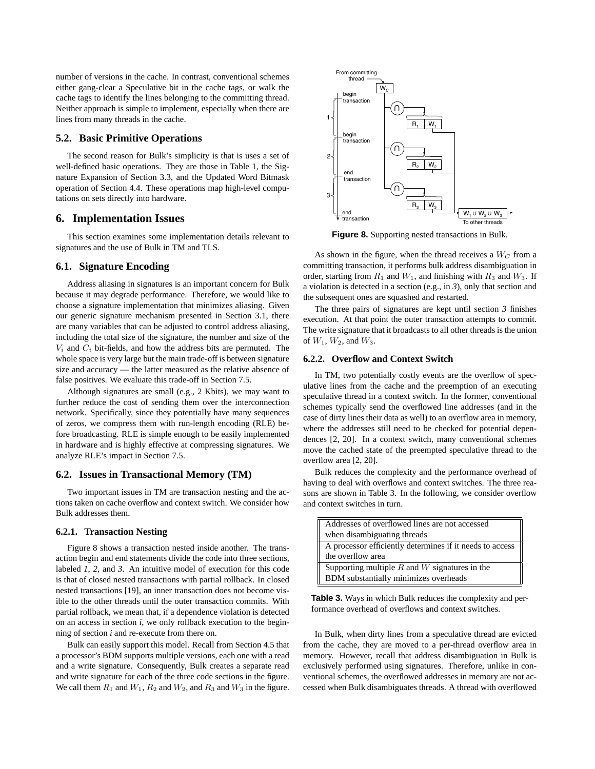number of versions in the cache. In contrast, conventional schemes either gang-clear a Speculative bit in the cache tags, or walk the cache tags to identify the lines belonging to the committing thread. Neither approach is simple to implement, especially when there are lines from many threads in the cache.

# **5.2. Basic Primitive Operations**

The second reason for Bulk's simplicity is that is uses a set of well-defined basic operations. They are those in Table 1, the Signature Expansion of Section 3.3, and the Updated Word Bitmask operation of Section 4.4. These operations map high-level computations on sets directly into hardware.

# **6. Implementation Issues**

This section examines some implementation details relevant to signatures and the use of Bulk in TM and TLS.

## **6.1. Signature Encoding**

Address aliasing in signatures is an important concern for Bulk because it may degrade performance. Therefore, we would like to choose a signature implementation that minimizes aliasing. Given our generic signature mechanism presented in Section 3.1, there are many variables that can be adjusted to control address aliasing, including the total size of the signature, the number and size of the  $V_i$  and  $C_i$  bit-fields, and how the address bits are permuted. The whole space is very large but the main trade-off is between signature size and accuracy — the latter measured as the relative absence of false positives. We evaluate this trade-off in Section 7.5.

Although signatures are small (e.g., 2 Kbits), we may want to further reduce the cost of sending them over the interconnection network. Specifically, since they potentially have many sequences of zeros, we compress them with run-length encoding (RLE) before broadcasting. RLE is simple enough to be easily implemented in hardware and is highly effective at compressing signatures. We analyze RLE's impact in Section 7.5.

# **6.2. Issues in Transactional Memory (TM)**

Two important issues in TM are transaction nesting and the actions taken on cache overflow and context switch. We consider how Bulk addresses them.

#### **6.2.1. Transaction Nesting**

Figure 8 shows a transaction nested inside another. The transaction begin and end statements divide the code into three sections, labeled *1*, *2*, and *3*. An intuitive model of execution for this code is that of closed nested transactions with partial rollback. In closed nested transactions [19], an inner transaction does not become visible to the other threads until the outer transaction commits. With partial rollback, we mean that, if a dependence violation is detected on an access in section *i*, we only rollback execution to the beginning of section *i* and re-execute from there on.

Bulk can easily support this model. Recall from Section 4.5 that a processor's BDM supports multiple versions, each one with a read and a write signature. Consequently, Bulk creates a separate read and write signature for each of the three code sections in the figure. We call them  $R_1$  and  $W_1$ ,  $R_2$  and  $W_2$ , and  $R_3$  and  $W_3$  in the figure.



**Figure 8.** Supporting nested transactions in Bulk.

As shown in the figure, when the thread receives a  $W_C$  from a committing transaction, it performs bulk address disambiguation in order, starting from  $R_1$  and  $W_1$ , and finishing with  $R_3$  and  $W_3$ . If a violation is detected in a section (e.g., in *3*), only that section and the subsequent ones are squashed and restarted.

The three pairs of signatures are kept until section *3* finishes execution. At that point the outer transaction attempts to commit. The write signature that it broadcasts to all other threads is the union of  $W_1$ ,  $W_2$ , and  $W_3$ .

## **6.2.2. Overflow and Context Switch**

In TM, two potentially costly events are the overflow of speculative lines from the cache and the preemption of an executing speculative thread in a context switch. In the former, conventional schemes typically send the overflowed line addresses (and in the case of dirty lines their data as well) to an overflow area in memory, where the addresses still need to be checked for potential dependences [2, 20]. In a context switch, many conventional schemes move the cached state of the preempted speculative thread to the overflow area [2, 20].

Bulk reduces the complexity and the performance overhead of having to deal with overflows and context switches. The three reasons are shown in Table 3. In the following, we consider overflow and context switches in turn.

| Addresses of overflowed lines are not accessed           |  |
|----------------------------------------------------------|--|
| when disambiguating threads                              |  |
| A processor efficiently determines if it needs to access |  |
| the overflow area                                        |  |
| Supporting multiple $R$ and $W$ signatures in the        |  |
| BDM substantially minimizes overheads                    |  |

| <b>Table 3.</b> Ways in which Bulk reduces the complexity and per- |
|--------------------------------------------------------------------|
| formance overhead of overflows and context switches.               |

In Bulk, when dirty lines from a speculative thread are evicted from the cache, they are moved to a per-thread overflow area in memory. However, recall that address disambiguation in Bulk is exclusively performed using signatures. Therefore, unlike in conventional schemes, the overflowed addresses in memory are not accessed when Bulk disambiguates threads. A thread with overflowed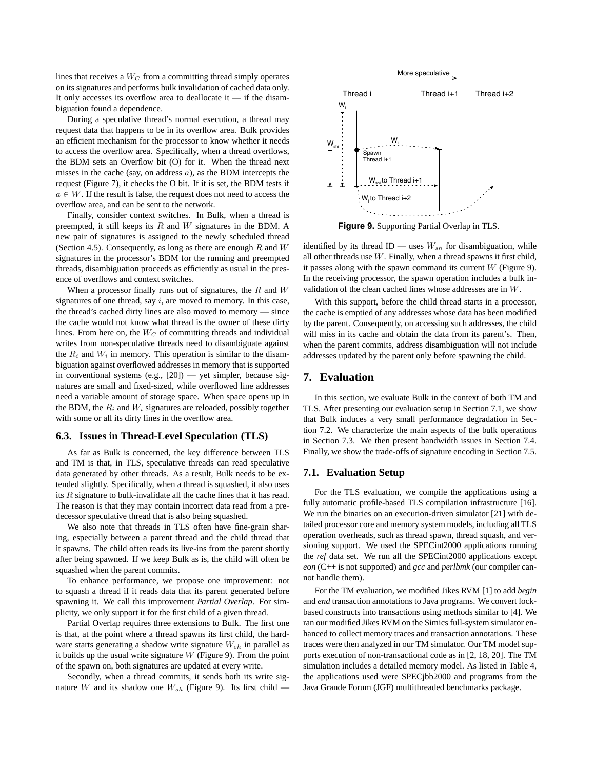lines that receives a  $W_C$  from a committing thread simply operates on its signatures and performs bulk invalidation of cached data only. It only accesses its overflow area to deallocate it  $-$  if the disambiguation found a dependence.

During a speculative thread's normal execution, a thread may request data that happens to be in its overflow area. Bulk provides an efficient mechanism for the processor to know whether it needs to access the overflow area. Specifically, when a thread overflows, the BDM sets an Overflow bit (O) for it. When the thread next misses in the cache (say, on address  $a$ ), as the BDM intercepts the request (Figure 7), it checks the O bit. If it is set, the BDM tests if  $a \in W$ . If the result is false, the request does not need to access the overflow area, and can be sent to the network.

Finally, consider context switches. In Bulk, when a thread is preempted, it still keeps its  $R$  and  $W$  signatures in the BDM. A new pair of signatures is assigned to the newly scheduled thread (Section 4.5). Consequently, as long as there are enough R and  $W$ signatures in the processor's BDM for the running and preempted threads, disambiguation proceeds as efficiently as usual in the presence of overflows and context switches.

When a processor finally runs out of signatures, the  $R$  and  $W$ signatures of one thread, say  $i$ , are moved to memory. In this case, the thread's cached dirty lines are also moved to memory — since the cache would not know what thread is the owner of these dirty lines. From here on, the  $W_C$  of committing threads and individual writes from non-speculative threads need to disambiguate against the  $R_i$  and  $W_i$  in memory. This operation is similar to the disambiguation against overflowed addresses in memory that is supported in conventional systems (e.g., [20]) — yet simpler, because signatures are small and fixed-sized, while overflowed line addresses need a variable amount of storage space. When space opens up in the BDM, the  $R_i$  and  $W_i$  signatures are reloaded, possibly together with some or all its dirty lines in the overflow area.

## **6.3. Issues in Thread-Level Speculation (TLS)**

As far as Bulk is concerned, the key difference between TLS and TM is that, in TLS, speculative threads can read speculative data generated by other threads. As a result, Bulk needs to be extended slightly. Specifically, when a thread is squashed, it also uses its R signature to bulk-invalidate all the cache lines that it has read. The reason is that they may contain incorrect data read from a predecessor speculative thread that is also being squashed.

We also note that threads in TLS often have fine-grain sharing, especially between a parent thread and the child thread that it spawns. The child often reads its live-ins from the parent shortly after being spawned. If we keep Bulk as is, the child will often be squashed when the parent commits.

To enhance performance, we propose one improvement: not to squash a thread if it reads data that its parent generated before spawning it. We call this improvement *Partial Overlap*. For simplicity, we only support it for the first child of a given thread.

Partial Overlap requires three extensions to Bulk. The first one is that, at the point where a thread spawns its first child, the hardware starts generating a shadow write signature  $W_{sh}$  in parallel as it builds up the usual write signature  $W$  (Figure 9). From the point of the spawn on, both signatures are updated at every write.

Secondly, when a thread commits, it sends both its write signature W and its shadow one  $W_{sh}$  (Figure 9). Its first child —





**Figure 9.** Supporting Partial Overlap in TLS.

identified by its thread ID — uses  $W_{sh}$  for disambiguation, while all other threads use  $W$ . Finally, when a thread spawns it first child, it passes along with the spawn command its current  $W$  (Figure 9). In the receiving processor, the spawn operation includes a bulk invalidation of the clean cached lines whose addresses are in W.

With this support, before the child thread starts in a processor, the cache is emptied of any addresses whose data has been modified by the parent. Consequently, on accessing such addresses, the child will miss in its cache and obtain the data from its parent's. Then, when the parent commits, address disambiguation will not include addresses updated by the parent only before spawning the child.

# **7. Evaluation**

In this section, we evaluate Bulk in the context of both TM and TLS. After presenting our evaluation setup in Section 7.1, we show that Bulk induces a very small performance degradation in Section 7.2. We characterize the main aspects of the bulk operations in Section 7.3. We then present bandwidth issues in Section 7.4. Finally, we show the trade-offs of signature encoding in Section 7.5.

#### **7.1. Evaluation Setup**

For the TLS evaluation, we compile the applications using a fully automatic profile-based TLS compilation infrastructure [16]. We run the binaries on an execution-driven simulator [21] with detailed processor core and memory system models, including all TLS operation overheads, such as thread spawn, thread squash, and versioning support. We used the SPECint2000 applications running the *ref* data set. We run all the SPECint2000 applications except *eon* (C++ is not supported) and *gcc* and *perlbmk* (our compiler cannot handle them).

For the TM evaluation, we modified Jikes RVM [1] to add *begin* and *end* transaction annotations to Java programs. We convert lockbased constructs into transactions using methods similar to [4]. We ran our modified Jikes RVM on the Simics full-system simulator enhanced to collect memory traces and transaction annotations. These traces were then analyzed in our TM simulator. Our TM model supports execution of non-transactional code as in [2, 18, 20]. The TM simulation includes a detailed memory model. As listed in Table 4, the applications used were SPECjbb2000 and programs from the Java Grande Forum (JGF) multithreaded benchmarks package.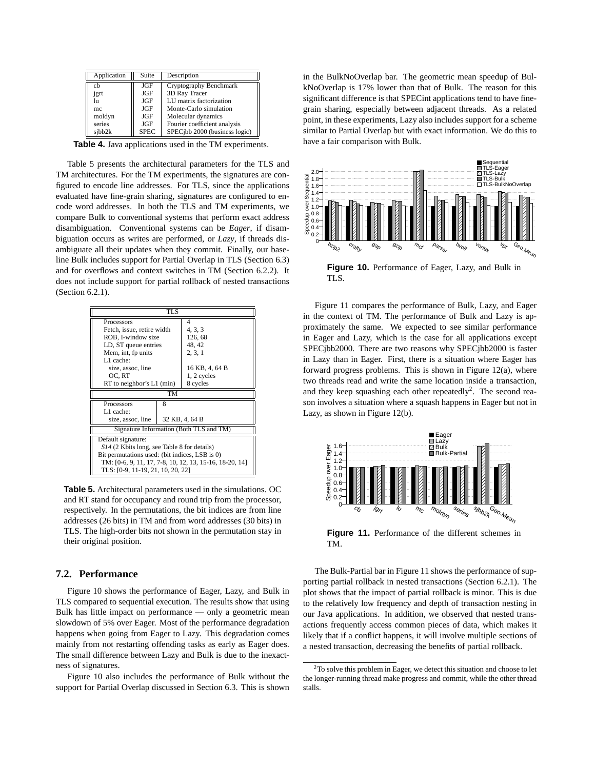| Application | Suite       | Description                   |  |  |
|-------------|-------------|-------------------------------|--|--|
| ch          | JGF         | Cryptography Benchmark        |  |  |
| jgrt        | JGF         | 3D Ray Tracer                 |  |  |
| lu          | JGF         | LU matrix factorization       |  |  |
| JGF<br>mc   |             | Monte-Carlo simulation        |  |  |
| moldyn      | JGF         | Molecular dynamics            |  |  |
| series      | JGF         | Fourier coefficient analysis  |  |  |
| sjbb2k      | <b>SPEC</b> | SPECjbb 2000 (business logic) |  |  |

**Table 4.** Java applications used in the TM experiments.

Table 5 presents the architectural parameters for the TLS and TM architectures. For the TM experiments, the signatures are configured to encode line addresses. For TLS, since the applications evaluated have fine-grain sharing, signatures are configured to encode word addresses. In both the TLS and TM experiments, we compare Bulk to conventional systems that perform exact address disambiguation. Conventional systems can be *Eager*, if disambiguation occurs as writes are performed, or *Lazy*, if threads disambiguate all their updates when they commit. Finally, our baseline Bulk includes support for Partial Overlap in TLS (Section 6.3) and for overflows and context switches in TM (Section 6.2.2). It does not include support for partial rollback of nested transactions (Section 6.2.1).



**Table 5.** Architectural parameters used in the simulations. OC and RT stand for occupancy and round trip from the processor, respectively. In the permutations, the bit indices are from line addresses (26 bits) in TM and from word addresses (30 bits) in TLS. The high-order bits not shown in the permutation stay in their original position.

## **7.2. Performance**

Figure 10 shows the performance of Eager, Lazy, and Bulk in TLS compared to sequential execution. The results show that using Bulk has little impact on performance — only a geometric mean slowdown of 5% over Eager. Most of the performance degradation happens when going from Eager to Lazy. This degradation comes mainly from not restarting offending tasks as early as Eager does. The small difference between Lazy and Bulk is due to the inexactness of signatures.

Figure 10 also includes the performance of Bulk without the support for Partial Overlap discussed in Section 6.3. This is shown

in the BulkNoOverlap bar. The geometric mean speedup of BulkNoOverlap is 17% lower than that of Bulk. The reason for this significant difference is that SPECint applications tend to have finegrain sharing, especially between adjacent threads. As a related point, in these experiments, Lazy also includes support for a scheme similar to Partial Overlap but with exact information. We do this to have a fair comparison with Bulk.



**Figure 10.** Performance of Eager, Lazy, and Bulk in TLS.

Figure 11 compares the performance of Bulk, Lazy, and Eager in the context of TM. The performance of Bulk and Lazy is approximately the same. We expected to see similar performance in Eager and Lazy, which is the case for all applications except SPECjbb2000. There are two reasons why SPECjbb2000 is faster in Lazy than in Eager. First, there is a situation where Eager has forward progress problems. This is shown in Figure 12(a), where two threads read and write the same location inside a transaction, and they keep squashing each other repeatedly<sup>2</sup>. The second reason involves a situation where a squash happens in Eager but not in Lazy, as shown in Figure 12(b).



**Figure 11.** Performance of the different schemes in TM.

The Bulk-Partial bar in Figure 11 shows the performance of supporting partial rollback in nested transactions (Section 6.2.1). The plot shows that the impact of partial rollback is minor. This is due to the relatively low frequency and depth of transaction nesting in our Java applications. In addition, we observed that nested transactions frequently access common pieces of data, which makes it likely that if a conflict happens, it will involve multiple sections of a nested transaction, decreasing the benefits of partial rollback.

 $2$ To solve this problem in Eager, we detect this situation and choose to let the longer-running thread make progress and commit, while the other thread stalls.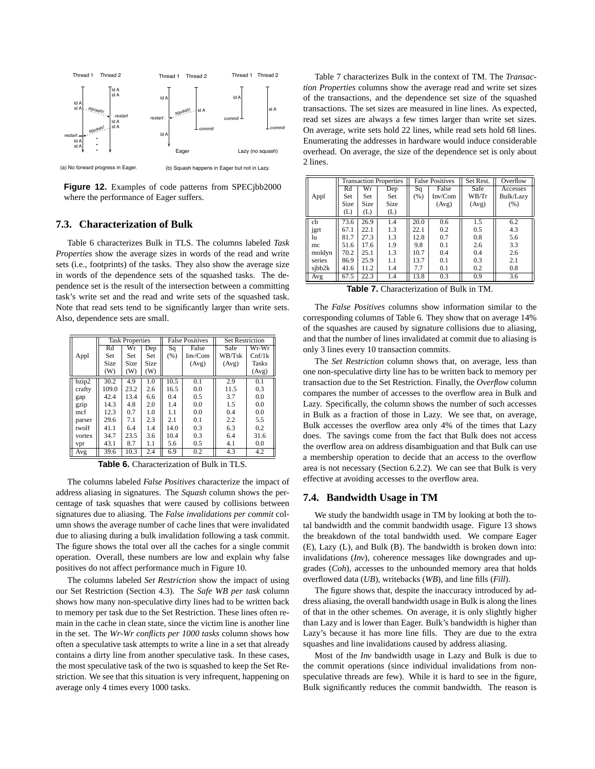

**Figure 12.** Examples of code patterns from SPECjbb2000 where the performance of Eager suffers.

# **7.3. Characterization of Bulk**

Table 6 characterizes Bulk in TLS. The columns labeled *Task Properties* show the average sizes in words of the read and write sets (i.e., footprints) of the tasks. They also show the average size in words of the dependence sets of the squashed tasks. The dependence set is the result of the intersection between a committing task's write set and the read and write sets of the squashed task. Note that read sets tend to be significantly larger than write sets. Also, dependence sets are small.

|        |       | <b>Task Properties</b> |                         |      | <b>False Positives</b> | <b>Set Restriction</b> |              |
|--------|-------|------------------------|-------------------------|------|------------------------|------------------------|--------------|
|        | Rd    | Wr                     | $\overline{\text{Dep}}$ | Sq   | False                  | Safe                   | Wr-Wr        |
| Appl   | Set   | <b>Set</b>             | Set                     | (% ) | Inv/Com                | WB/Tsk                 | Cn f/1 k     |
|        | Size  | Size                   | Size                    |      | (Avg)                  | (Avg)                  | <b>Tasks</b> |
|        | (W)   | (W)                    | (W)                     |      |                        |                        | (Avg)        |
| bzip2  | 30.2  | 4.9                    | 1.0                     | 10.5 | 0.1                    | 2.9                    | 0.1          |
| crafty | 109.0 | 23.2                   | 2.6                     | 16.5 | 0.0                    | 11.5                   | 0.3          |
| gap    | 42.4  | 13.4                   | 6.6                     | 0.4  | 0.5                    | 3.7                    | 0.0          |
| gzip   | 14.3  | 4.8                    | 2.0                     | 1.4  | 0.0                    | 1.5                    | 0.0          |
| mcf    | 12.3  | 0.7                    | 1.0                     | 1.1  | 0.0                    | 0.4                    | 0.0          |
| parser | 29.6  | 7.1                    | 2.3                     | 2.1  | 0.1                    | 2.2                    | 5.5          |
| twolf  | 41.1  | 6.4                    | 1.4                     | 14.0 | 0.3                    | 6.3                    | 0.2          |
| vortex | 34.7  | 23.5                   | 3.6                     | 10.4 | 0.3                    | 6.4                    | 31.6         |
| vpr    | 43.1  | 8.7                    | 1.1                     | 5.6  | 0.5                    | 4.1                    | 0.0          |
| Avg    | 39.6  | 10.3                   | 2.4                     | 6.9  | 0.2                    | 4.3                    | 4.2          |

**Table 6.** Characterization of Bulk in TLS.

The columns labeled *False Positives* characterize the impact of address aliasing in signatures. The *Squash* column shows the percentage of task squashes that were caused by collisions between signatures due to aliasing. The *False invalidations per commit* column shows the average number of cache lines that were invalidated due to aliasing during a bulk invalidation following a task commit. The figure shows the total over all the caches for a single commit operation. Overall, these numbers are low and explain why false positives do not affect performance much in Figure 10.

The columns labeled *Set Restriction* show the impact of using our Set Restriction (Section 4.3). The *Safe WB per task* column shows how many non-speculative dirty lines had to be written back to memory per task due to the Set Restriction. These lines often remain in the cache in clean state, since the victim line is another line in the set. The *Wr-Wr conflicts per 1000 tasks* column shows how often a speculative task attempts to write a line in a set that already contains a dirty line from another speculative task. In these cases, the most speculative task of the two is squashed to keep the Set Restriction. We see that this situation is very infrequent, happening on average only 4 times every 1000 tasks.

Table 7 characterizes Bulk in the context of TM. The *Transaction Properties* columns show the average read and write set sizes of the transactions, and the dependence set size of the squashed transactions. The set sizes are measured in line lines. As expected, read set sizes are always a few times larger than write set sizes. On average, write sets hold 22 lines, while read sets hold 68 lines. Enumerating the addresses in hardware would induce considerable overhead. On average, the size of the dependence set is only about 2 lines.

|        |      |      | <b>Transaction Properties</b> | <b>False Positives</b> |         | Set Rest. | Overflow  |
|--------|------|------|-------------------------------|------------------------|---------|-----------|-----------|
|        | Rd   | Wr   | Dep                           | Sq                     | False   | Safe      | Accesses  |
| Appl   | Set  | Set  | Set                           | (% )                   | Inv/Com | WB/Tr     | Bulk/Lazy |
|        | Size | Size | Size                          |                        | (Avg)   | (Avg)     | (% )      |
|        | (L)  | (L)  | (L)                           |                        |         |           |           |
| cb     | 73.6 | 26.9 | 1.4                           | 20.0                   | 0.6     | 1.5       | 6.2       |
| jgrt   | 67.1 | 22.1 | 1.3                           | 22.1                   | 0.2     | 0.5       | 4.3       |
| lu     | 81.7 | 27.3 | 1.3                           | 12.8                   | 0.7     | 0.8       | 5.6       |
| mc     | 51.6 | 17.6 | 1.9                           | 9.8                    | 0.1     | 2.6       | 3.3       |
| moldyn | 70.2 | 25.1 | 1.3                           | 10.7                   | 0.4     | 0.4       | 2.6       |
| series | 86.9 | 25.9 | 1.1                           | 13.7                   | 0.1     | 0.3       | 2.1       |
| sjbb2k | 41.6 | 11.2 | 1.4                           | 7.7                    | 0.1     | 0.2       | 0.8       |
| Avg    | 67.5 | 22.3 | 1.4                           | 13.8                   | 0.3     | 0.9       | 3.6       |

**Table 7.** Characterization of Bulk in TM.

The *False Positives* columns show information similar to the corresponding columns of Table 6. They show that on average 14% of the squashes are caused by signature collisions due to aliasing, and that the number of lines invalidated at commit due to aliasing is only 3 lines every 10 transaction commits.

The *Set Restriction* column shows that, on average, less than one non-speculative dirty line has to be written back to memory per transaction due to the Set Restriction. Finally, the *Overflow* column compares the number of accesses to the overflow area in Bulk and Lazy. Specifically, the column shows the number of such accesses in Bulk as a fraction of those in Lazy. We see that, on average, Bulk accesses the overflow area only 4% of the times that Lazy does. The savings come from the fact that Bulk does not access the overflow area on address disambiguation and that Bulk can use a membership operation to decide that an access to the overflow area is not necessary (Section 6.2.2). We can see that Bulk is very effective at avoiding accesses to the overflow area.

## **7.4. Bandwidth Usage in TM**

We study the bandwidth usage in TM by looking at both the total bandwidth and the commit bandwidth usage. Figure 13 shows the breakdown of the total bandwidth used. We compare Eager (E), Lazy (L), and Bulk (B). The bandwidth is broken down into: invalidations (*Inv*), coherence messages like downgrades and upgrades (*Coh*), accesses to the unbounded memory area that holds overflowed data (*UB*), writebacks (*WB*), and line fills (*Fill*).

The figure shows that, despite the inaccuracy introduced by address aliasing, the overall bandwidth usage in Bulk is along the lines of that in the other schemes. On average, it is only slightly higher than Lazy and is lower than Eager. Bulk's bandwidth is higher than Lazy's because it has more line fills. They are due to the extra squashes and line invalidations caused by address aliasing.

Most of the *Inv* bandwidth usage in Lazy and Bulk is due to the commit operations (since individual invalidations from nonspeculative threads are few). While it is hard to see in the figure, Bulk significantly reduces the commit bandwidth. The reason is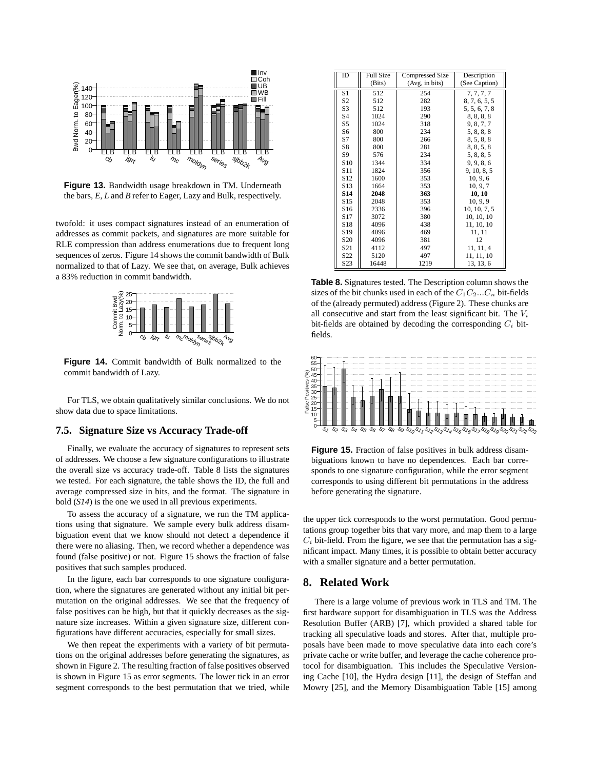

**Figure 13.** Bandwidth usage breakdown in TM. Underneath the bars, *E*, *L* and *B* refer to Eager, Lazy and Bulk, respectively.

twofold: it uses compact signatures instead of an enumeration of addresses as commit packets, and signatures are more suitable for RLE compression than address enumerations due to frequent long sequences of zeros. Figure 14 shows the commit bandwidth of Bulk normalized to that of Lazy. We see that, on average, Bulk achieves a 83% reduction in commit bandwidth.



**Figure 14.** Commit bandwidth of Bulk normalized to the commit bandwidth of Lazy.

For TLS, we obtain qualitatively similar conclusions. We do not show data due to space limitations.

## **7.5. Signature Size vs Accuracy Trade-off**

Finally, we evaluate the accuracy of signatures to represent sets of addresses. We choose a few signature configurations to illustrate the overall size vs accuracy trade-off. Table 8 lists the signatures we tested. For each signature, the table shows the ID, the full and average compressed size in bits, and the format. The signature in bold (*S14*) is the one we used in all previous experiments.

To assess the accuracy of a signature, we run the TM applications using that signature. We sample every bulk address disambiguation event that we know should not detect a dependence if there were no aliasing. Then, we record whether a dependence was found (false positive) or not. Figure 15 shows the fraction of false positives that such samples produced.

In the figure, each bar corresponds to one signature configuration, where the signatures are generated without any initial bit permutation on the original addresses. We see that the frequency of false positives can be high, but that it quickly decreases as the signature size increases. Within a given signature size, different configurations have different accuracies, especially for small sizes.

We then repeat the experiments with a variety of bit permutations on the original addresses before generating the signatures, as shown in Figure 2. The resulting fraction of false positives observed is shown in Figure 15 as error segments. The lower tick in an error segment corresponds to the best permutation that we tried, while

| $_{\rm ID}$      |                        |               |  |  |  |  |  |
|------------------|------------------------|---------------|--|--|--|--|--|
|                  | <b>Compressed Size</b> | Description   |  |  |  |  |  |
| (Bits)           | (Avg, in bits)         | (See Caption) |  |  |  |  |  |
| $\overline{512}$ | 254                    | 7, 7, 7, 7    |  |  |  |  |  |
| 512              | 282                    | 8, 7, 6, 5, 5 |  |  |  |  |  |
| 512              | 193                    | 5, 5, 6, 7, 8 |  |  |  |  |  |
| 1024             | 290                    | 8, 8, 8, 8    |  |  |  |  |  |
| 1024             | 318                    | 9, 8, 7, 7    |  |  |  |  |  |
| 800              | 234                    | 5, 8, 8, 8    |  |  |  |  |  |
| 800              | 266                    | 8, 5, 8, 8    |  |  |  |  |  |
| 800              | 281                    | 8, 8, 5, 8    |  |  |  |  |  |
| 576              | 234                    | 5, 8, 8, 5    |  |  |  |  |  |
| 1344             | 334                    | 9, 9, 8, 6    |  |  |  |  |  |
| 1824             | 356                    | 9, 10, 8, 5   |  |  |  |  |  |
| 1600             | 353                    | 10, 9, 6      |  |  |  |  |  |
| 1664             | 353                    | 10, 9, 7      |  |  |  |  |  |
| 2048             | 363                    | 10, 10        |  |  |  |  |  |
| 2048             | 353                    | 10, 9, 9      |  |  |  |  |  |
| 2336             | 396                    | 10, 10, 7, 5  |  |  |  |  |  |
| 3072             | 380                    | 10, 10, 10    |  |  |  |  |  |
| 4096             | 438                    | 11, 10, 10    |  |  |  |  |  |
| 4096             | 469                    | 11, 11        |  |  |  |  |  |
| 4096             | 381                    | 12            |  |  |  |  |  |
| 4112             | 497                    | 11, 11, 4     |  |  |  |  |  |
| 5120             | 497                    | 11, 11, 10    |  |  |  |  |  |
| 16448            | 1219                   | 13, 13, 6     |  |  |  |  |  |
|                  | <b>Full Size</b>       |               |  |  |  |  |  |

**Table 8.** Signatures tested. The Description column shows the sizes of the bit chunks used in each of the  $C_1C_2...C_n$  bit-fields of the (already permuted) address (Figure 2). These chunks are all consecutive and start from the least significant bit. The  $V_i$ bit-fields are obtained by decoding the corresponding  $C_i$  bitfields.



**Figure 15.** Fraction of false positives in bulk address disambiguations known to have no dependences. Each bar corresponds to one signature configuration, while the error segment corresponds to using different bit permutations in the address before generating the signature.

the upper tick corresponds to the worst permutation. Good permutations group together bits that vary more, and map them to a large  $C_i$  bit-field. From the figure, we see that the permutation has a significant impact. Many times, it is possible to obtain better accuracy with a smaller signature and a better permutation.

## **8. Related Work**

There is a large volume of previous work in TLS and TM. The first hardware support for disambiguation in TLS was the Address Resolution Buffer (ARB) [7], which provided a shared table for tracking all speculative loads and stores. After that, multiple proposals have been made to move speculative data into each core's private cache or write buffer, and leverage the cache coherence protocol for disambiguation. This includes the Speculative Versioning Cache [10], the Hydra design [11], the design of Steffan and Mowry [25], and the Memory Disambiguation Table [15] among